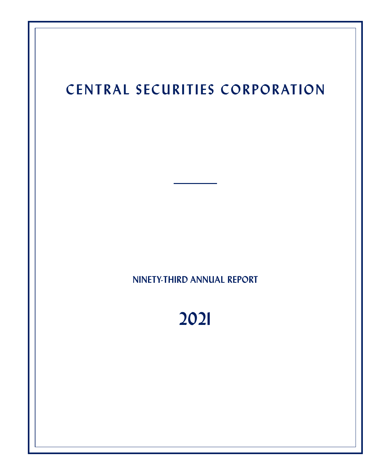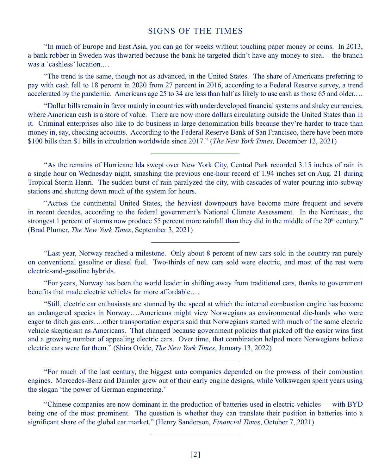### SIGNS OF THE TIMES

"In much of Europe and East Asia, you can go for weeks without touching paper money or coins. In 2013, a bank robber in Sweden was thwarted because the bank he targeted didn't have any money to steal – the branch was a 'cashless' location

"The trend is the same, though not as advanced, in the United States. The share of Americans preferring to pay with cash fell to 18 percent in 2020 from 27 percent in 2016, according to a Federal Reserve survey, a trend accelerated by the pandemic. Americans age 25 to 34 are less than half as likely to use cash as those 65 and older.…

"Dollar bills remain in favor mainly in countries with underdeveloped financial systems and shaky currencies, where American cash is a store of value. There are now more dollars circulating outside the United States than in it. Criminal enterprises also like to do business in large denomination bills because they're harder to trace than money in, say, checking accounts. According to the Federal Reserve Bank of San Francisco, there have been more \$100 bills than \$1 bills in circulation worldwide since 2017." (*The New York Times,* December 12, 2021)

"As the remains of Hurricane Ida swept over New York City, Central Park recorded 3.15 inches of rain in a single hour on Wednesday night, smashing the previous one-hour record of 1.94 inches set on Aug. 21 during Tropical Storm Henri. The sudden burst of rain paralyzed the city, with cascades of water pouring into subway stations and shutting down much of the system for hours.

"Across the continental United States, the heaviest downpours have become more frequent and severe in recent decades, according to the federal government's National Climate Assessment. In the Northeast, the strongest 1 percent of storms now produce 55 percent more rainfall than they did in the middle of the 20<sup>th</sup> century." (Brad Plumer, *The New York Times*, September 3, 2021)

"Last year, Norway reached a milestone. Only about 8 percent of new cars sold in the country ran purely on conventional gasoline or diesel fuel. Two-thirds of new cars sold were electric, and most of the rest were electric-and-gasoline hybrids.

"For years, Norway has been the world leader in shifting away from traditional cars, thanks to government benefits that made electric vehicles far more affordable.…

"Still, electric car enthusiasts are stunned by the speed at which the internal combustion engine has become an endangered species in Norway….Americans might view Norwegians as environmental die-hards who were eager to ditch gas cars….other transportation experts said that Norwegians started with much of the same electric vehicle skepticism as Americans. That changed because government policies that picked off the easier wins first and a growing number of appealing electric cars. Over time, that combination helped more Norwegians believe electric cars were for them." (Shira Ovide, *The New York Times*, January 13, 2022)

"For much of the last century, the biggest auto companies depended on the prowess of their combustion engines. Mercedes-Benz and Daimler grew out of their early engine designs, while Volkswagen spent years using the slogan 'the power of German engineering.'

<sup>&</sup>quot;Chinese companies are now dominant in the production of batteries used in electric vehicles — with BYD being one of the most prominent. The question is whether they can translate their position in batteries into a significant share of the global car market." (Henry Sanderson, *Financial Times*, October 7, 2021)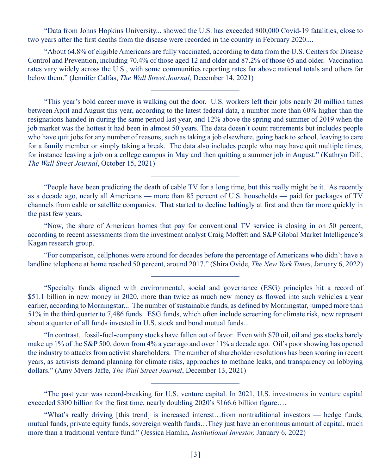"Data from Johns Hopkins University... showed the U.S. has exceeded 800,000 Covid-19 fatalities, close to two years after the first deaths from the disease were recorded in the country in February 2020....

"About 64.8% of eligible Americans are fully vaccinated, according to data from the U.S. Centers for Disease Control and Prevention, including 70.4% of those aged 12 and older and 87.2% of those 65 and older. Vaccination rates vary widely across the U.S., with some communities reporting rates far above national totals and others far below them." (Jennifer Calfas, *The Wall Street Journal*, December 14, 2021)

"This year's bold career move is walking out the door. U.S. workers left their jobs nearly 20 million times between April and August this year, according to the latest federal data, a number more than 60% higher than the resignations handed in during the same period last year, and 12% above the spring and summer of 2019 when the job market was the hottest it had been in almost 50 years. The data doesn't count retirements but includes people who have quit jobs for any number of reasons, such as taking a job elsewhere, going back to school, leaving to care for a family member or simply taking a break. The data also includes people who may have quit multiple times, for instance leaving a job on a college campus in May and then quitting a summer job in August." (Kathryn Dill, *The Wall Street Journal*, October 15, 2021)

"People have been predicting the death of cable TV for a long time, but this really might be it. As recently as a decade ago, nearly all Americans — more than 85 percent of U.S. households — paid for packages of TV channels from cable or satellite companies. That started to decline haltingly at first and then far more quickly in the past few years.

"Now, the share of American homes that pay for conventional TV service is closing in on 50 percent, according to recent assessments from the investment analyst Craig Moffett and S&P Global Market Intelligence's Kagan research group.

"For comparison, cellphones were around for decades before the percentage of Americans who didn't have a landline telephone at home reached 50 percent, around 2017." (Shira Ovide, *The New York Times*, January 6, 2022)

"Specialty funds aligned with environmental, social and governance (ESG) principles hit a record of \$51.1 billion in new money in 2020, more than twice as much new money as flowed into such vehicles a year earlier, according to Morningstar... The number of sustainable funds, as defined by Morningstar, jumped more than 51% in the third quarter to 7,486 funds. ESG funds, which often include screening for climate risk, now represent about a quarter of all funds invested in U.S. stock and bond mutual funds...

"In contrast...fossil-fuel-company stocks have fallen out of favor. Even with \$70 oil, oil and gas stocks barely make up 1% of the S&P 500, down from 4% a year ago and over 11% a decade ago. Oil's poor showing has opened the industry to attacks from activist shareholders. The number of shareholder resolutions has been soaring in recent years, as activists demand planning for climate risks, approaches to methane leaks, and transparency on lobbying dollars." (Amy Myers Jaffe, *The Wall Street Journal*, December 13, 2021)

"The past year was record-breaking for U.S. venture capital. In 2021, U.S. investments in venture capital exceeded \$300 billion for the first time, nearly doubling 2020's \$166.6 billion figure....

"What's really driving [this trend] is increased interest…from nontraditional investors — hedge funds, mutual funds, private equity funds, sovereign wealth funds…They just have an enormous amount of capital, much more than a traditional venture fund." (Jessica Hamlin, *Institutional Investor,* January 6, 2022)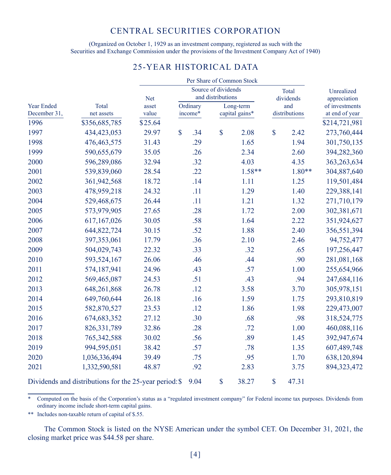# CENTRAL SECURITIES CORPORATION

(Organized on October 1, 1929 as an investment company, registered as such with the Securities and Exchange Commission under the provisions of the Investment Company Act of 1940)

# 25-YEAR HISTORICAL DATA

|                            |                                                        | Per Share of Common Stock |                     |                   |                             |           |                      |                                  |
|----------------------------|--------------------------------------------------------|---------------------------|---------------------|-------------------|-----------------------------|-----------|----------------------|----------------------------------|
| Year Ended<br>December 31, |                                                        |                           | Source of dividends |                   |                             | Total     |                      | Unrealized                       |
|                            |                                                        | <b>Net</b>                |                     | and distributions |                             | dividends |                      | appreciation                     |
|                            | Total<br>net assets                                    | asset<br>value            | Ordinary<br>income* |                   | Long-term<br>capital gains* |           | and<br>distributions | of investments<br>at end of year |
| 1996                       | \$356,685,785                                          | \$25.64                   |                     |                   |                             |           |                      | \$214,721,981                    |
| 1997                       | 434,423,053                                            | 29.97                     | \$<br>.34           | \$                | 2.08                        | \$        | 2.42                 | 273,760,444                      |
| 1998                       | 476, 463, 575                                          | 31.43                     | .29                 |                   | 1.65                        |           | 1.94                 | 301,750,135                      |
| 1999                       | 590,655,679                                            | 35.05                     | .26                 |                   | 2.34                        |           | 2.60                 | 394,282,360                      |
| 2000                       | 596,289,086                                            | 32.94                     | .32                 |                   | 4.03                        |           | 4.35                 | 363,263,634                      |
| 2001                       | 539,839,060                                            | 28.54                     | .22                 |                   | $1.58**$                    |           | $1.80**$             | 304,887,640                      |
| 2002                       | 361,942,568                                            | 18.72                     | .14                 |                   | 1.11                        |           | 1.25                 | 119,501,484                      |
| 2003                       | 478,959,218                                            | 24.32                     | .11                 |                   | 1.29                        |           | 1.40                 | 229,388,141                      |
| 2004                       | 529,468,675                                            | 26.44                     | .11                 |                   | 1.21                        |           | 1.32                 | 271,710,179                      |
| 2005                       | 573,979,905                                            | 27.65                     | .28                 |                   | 1.72                        |           | 2.00                 | 302,381,671                      |
| 2006                       | 617,167,026                                            | 30.05                     | .58                 |                   | 1.64                        |           | 2.22                 | 351,924,627                      |
| 2007                       | 644,822,724                                            | 30.15                     | .52                 |                   | 1.88                        |           | 2.40                 | 356,551,394                      |
| 2008                       | 397, 353, 061                                          | 17.79                     | .36                 |                   | 2.10                        |           | 2.46                 | 94,752,477                       |
| 2009                       | 504,029,743                                            | 22.32                     | .33                 |                   | .32                         |           | .65                  | 197,256,447                      |
| 2010                       | 593,524,167                                            | 26.06                     | .46                 |                   | .44                         |           | .90                  | 281,081,168                      |
| 2011                       | 574,187,941                                            | 24.96                     | .43                 |                   | .57                         |           | 1.00                 | 255,654,966                      |
| 2012                       | 569,465,087                                            | 24.53                     | .51                 |                   | .43                         |           | .94                  | 247,684,116                      |
| 2013                       | 648,261,868                                            | 26.78                     | .12                 |                   | 3.58                        |           | 3.70                 | 305,978,151                      |
| 2014                       | 649,760,644                                            | 26.18                     | .16                 |                   | 1.59                        |           | 1.75                 | 293,810,819                      |
| 2015                       | 582,870,527                                            | 23.53                     | .12                 |                   | 1.86                        |           | 1.98                 | 229,473,007                      |
| 2016                       | 674, 683, 352                                          | 27.12                     | .30                 |                   | .68                         |           | .98                  | 318,524,775                      |
| 2017                       | 826,331,789                                            | 32.86                     | .28                 |                   | .72                         |           | 1.00                 | 460,088,116                      |
| 2018                       | 765, 342, 588                                          | 30.02                     | .56                 |                   | .89                         |           | 1.45                 | 392,947,674                      |
| 2019                       | 994,595,051                                            | 38.42                     | .57                 |                   | .78                         |           | 1.35                 | 607,489,748                      |
| 2020                       | 1,036,336,494                                          | 39.49                     | .75                 |                   | .95                         |           | 1.70                 | 638,120,894                      |
| 2021                       | 1,332,590,581                                          | 48.87                     | .92                 |                   | 2.83                        |           | 3.75                 | 894,323,472                      |
|                            | Dividends and distributions for the 25-year period: \$ |                           | 9.04                | \$                | 38.27                       | \$        | 47.31                |                                  |

\* Computed on the basis of the Corporation's status as a "regulated investment company" for Federal income tax purposes. Dividends from ordinary income include short-term capital gains.

\*\* Includes non-taxable return of capital of \$.55.

The Common Stock is listed on the NYSE American under the symbol CET. On December 31, 2021, the closing market price was \$44.58 per share.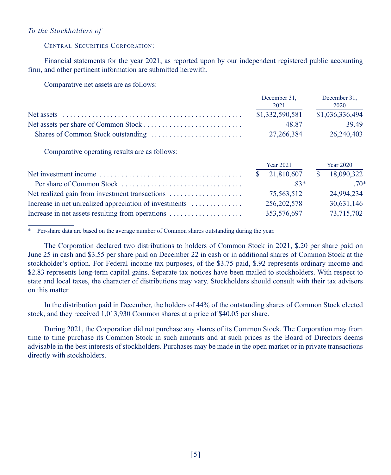### *To the Stockholders of*

Central Securities Corporation:

Financial statements for the year 2021, as reported upon by our independent registered public accounting firm, and other pertinent information are submitted herewith.

Comparative net assets are as follows:

|                                                                                                                                                                                                                                | December 31.    | December 31.    |
|--------------------------------------------------------------------------------------------------------------------------------------------------------------------------------------------------------------------------------|-----------------|-----------------|
|                                                                                                                                                                                                                                | 2021            | 2020            |
| Net assets experience in the contract of the set of the set of the set of the set of the set of the set of the set of the set of the set of the set of the set of the set of the set of the set of the set of the set of the s | \$1,332,590,581 | \$1,036,336,494 |
|                                                                                                                                                                                                                                | 48.87           | 39.49           |
|                                                                                                                                                                                                                                | 27.266.384      | 26,240,403      |

Comparative operating results are as follows:

|                                                        | Year 2021     | <b>Year 2020</b> |
|--------------------------------------------------------|---------------|------------------|
| Net investment income                                  | \$21.810.607  | 18,090,322       |
|                                                        | $83*$         | - 70*            |
|                                                        | 75,563,512    | 24.994.234       |
| Increase in net unrealized appreciation of investments | 256, 202, 578 | 30,631,146       |
|                                                        | 353,576,697   | 73,715,702       |

\* Per-share data are based on the average number of Common shares outstanding during the year.

The Corporation declared two distributions to holders of Common Stock in 2021, \$.20 per share paid on June 25 in cash and \$3.55 per share paid on December 22 in cash or in additional shares of Common Stock at the stockholder's option. For Federal income tax purposes, of the \$3.75 paid, \$.92 represents ordinary income and \$2.83 represents long-term capital gains. Separate tax notices have been mailed to stockholders. With respect to state and local taxes, the character of distributions may vary. Stockholders should consult with their tax advisors on this matter.

In the distribution paid in December, the holders of 44% of the outstanding shares of Common Stock elected stock, and they received 1,013,930 Common shares at a price of \$40.05 per share.

During 2021, the Corporation did not purchase any shares of its Common Stock. The Corporation may from time to time purchase its Common Stock in such amounts and at such prices as the Board of Directors deems advisable in the best interests of stockholders. Purchases may be made in the open market or in private transactions directly with stockholders.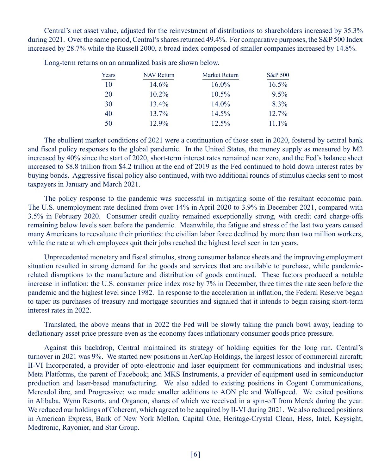Central's net asset value, adjusted for the reinvestment of distributions to shareholders increased by 35.3% during 2021. Over the same period, Central's shares returned 49.4%. For comparative purposes, the S&P 500 Index increased by 28.7% while the Russell 2000, a broad index composed of smaller companies increased by 14.8%.

| Years | <b>NAV Return</b> | <b>Market Return</b> | <b>S&amp;P 500</b> |
|-------|-------------------|----------------------|--------------------|
| 10    | $14.6\%$          | $16.0\%$             | $16.5\%$           |
| 20    | $10.2\%$          | $10.5\%$             | $9.5\%$            |
| 30    | $13.4\%$          | $14.0\%$             | 8.3%               |
| 40    | $13.7\%$          | $14.5\%$             | $12.7\%$           |
| 50    | 12.9%             | 12.5%                | 11.1%              |

Long-term returns on an annualized basis are shown below.

The ebullient market conditions of 2021 were a continuation of those seen in 2020, fostered by central bank and fiscal policy responses to the global pandemic. In the United States, the money supply as measured by M2 increased by 40% since the start of 2020, short-term interest rates remained near zero, and the Fed's balance sheet increased to \$8.8 trillion from \$4.2 trillion at the end of 2019 as the Fed continued to hold down interest rates by buying bonds. Aggressive fiscal policy also continued, with two additional rounds of stimulus checks sent to most taxpayers in January and March 2021.

The policy response to the pandemic was successful in mitigating some of the resultant economic pain. The U.S. unemployment rate declined from over 14% in April 2020 to 3.9% in December 2021, compared with 3.5% in February 2020. Consumer credit quality remained exceptionally strong, with credit card charge-offs remaining below levels seen before the pandemic. Meanwhile, the fatigue and stress of the last two years caused many Americans to reevaluate their priorities: the civilian labor force declined by more than two million workers, while the rate at which employees quit their jobs reached the highest level seen in ten years.

Unprecedented monetary and fiscal stimulus, strong consumer balance sheets and the improving employment situation resulted in strong demand for the goods and services that are available to purchase, while pandemicrelated disruptions to the manufacture and distribution of goods continued. These factors produced a notable increase in inflation: the U.S. consumer price index rose by 7% in December, three times the rate seen before the pandemic and the highest level since 1982. In response to the acceleration in inflation, the Federal Reserve began to taper its purchases of treasury and mortgage securities and signaled that it intends to begin raising short-term interest rates in 2022.

Translated, the above means that in 2022 the Fed will be slowly taking the punch bowl away, leading to deflationary asset price pressure even as the economy faces inflationary consumer goods price pressure.

Against this backdrop, Central maintained its strategy of holding equities for the long run. Central's turnover in 2021 was 9%. We started new positions in AerCap Holdings, the largest lessor of commercial aircraft; II-VI Incorporated, a provider of opto-electronic and laser equipment for communications and industrial uses; Meta Platforms, the parent of Facebook; and MKS Instruments, a provider of equipment used in semiconductor production and laser-based manufacturing. We also added to existing positions in Cogent Communications, MercadoLibre, and Progressive; we made smaller additions to AON plc and Wolfspeed. We exited positions in Alibaba, Wynn Resorts, and Organon, shares of which we received in a spin-off from Merck during the year. We reduced our holdings of Coherent, which agreed to be acquired by II-VI during 2021. We also reduced positions in American Express, Bank of New York Mellon, Capital One, Heritage-Crystal Clean, Hess, Intel, Keysight, Medtronic, Rayonier, and Star Group.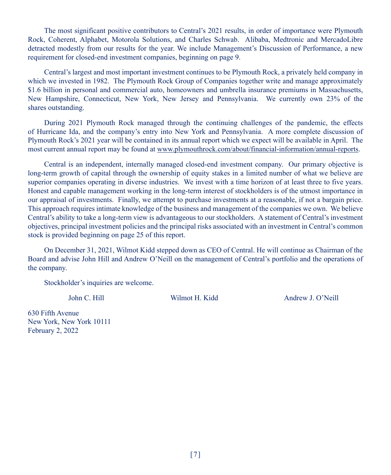The most significant positive contributors to Central's 2021 results, in order of importance were Plymouth Rock, Coherent, Alphabet, Motorola Solutions, and Charles Schwab. Alibaba, Medtronic and MercadoLibre detracted modestly from our results for the year. We include Management's Discussion of Performance, a new requirement for closed-end investment companies, beginning on page 9.

Central's largest and most important investment continues to be Plymouth Rock, a privately held company in which we invested in 1982. The Plymouth Rock Group of Companies together write and manage approximately \$1.6 billion in personal and commercial auto, homeowners and umbrella insurance premiums in Massachusetts, New Hampshire, Connecticut, New York, New Jersey and Pennsylvania. We currently own 23% of the shares outstanding.

During 2021 Plymouth Rock managed through the continuing challenges of the pandemic, the effects of Hurricane Ida, and the company's entry into New York and Pennsylvania. A more complete discussion of Plymouth Rock's 2021 year will be contained in its annual report which we expect will be available in April. The most current annual report may be found at www.plymouthrock.com/about/financial-information/annual-reports.

Central is an independent, internally managed closed-end investment company. Our primary objective is long-term growth of capital through the ownership of equity stakes in a limited number of what we believe are superior companies operating in diverse industries. We invest with a time horizon of at least three to five years. Honest and capable management working in the long-term interest of stockholders is of the utmost importance in our appraisal of investments. Finally, we attempt to purchase investments at a reasonable, if not a bargain price. This approach requires intimate knowledge of the business and management of the companies we own. We believe Central's ability to take a long-term view is advantageous to our stockholders. A statement of Central's investment objectives, principal investment policies and the principal risks associated with an investment in Central's common stock is provided beginning on page 25 of this report.

On December 31, 2021, Wilmot Kidd stepped down as CEO of Central. He will continue as Chairman of the Board and advise John Hill and Andrew O'Neill on the management of Central's portfolio and the operations of the company.

Stockholder's inquiries are welcome.

John C. Hill Wilmot H. Kidd Andrew J. O'Neill

630 Fifth Avenue New York, New York 10111 February 2, 2022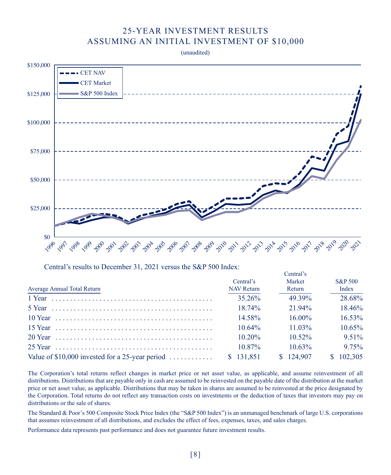# 25-YEAR INVESTMENT RESULTS ASSUMING AN INITIAL INVESTMENT OF \$10,000

(unaudited)



Central's results to December 31, 2021 versus the S&P 500 Index:

|                                                                                               | $\sqrt{21111413}$ |           |                    |
|-----------------------------------------------------------------------------------------------|-------------------|-----------|--------------------|
|                                                                                               | Central's         | Market    | <b>S&amp;P 500</b> |
| Average Annual Total Return                                                                   | <b>NAV Return</b> | Return    | Index              |
|                                                                                               | 35.26%            | 49 39%    | 28.68%             |
|                                                                                               | 1874%             | 21 94%    | $18.46\%$          |
|                                                                                               | 14.58%            | $1600\%$  | $16.53\%$          |
| 15 Year $\ldots \ldots \ldots \ldots \ldots \ldots \ldots \ldots \ldots \ldots \ldots \ldots$ | $10.64\%$         | $11.03\%$ | 10.65%             |
|                                                                                               | $10.20\%$         | $10.52\%$ | $9.51\%$           |
|                                                                                               | $10.87\%$         | $10.63\%$ | 9.75%              |
| Value of \$10,000 invested for a 25-year period                                               | \$131.851         | \$124,907 | 102.305            |
|                                                                                               |                   |           |                    |

Central's

The Corporation's total returns reflect changes in market price or net asset value, as applicable, and assume reinvestment of all distributions. Distributions that are payable only in cash are assumed to be reinvested on the payable date of the distribution at the market price or net asset value, as applicable. Distributions that may be taken in shares are assumed to be reinvested at the price designated by the Corporation. Total returns do not reflect any transaction costs on investments or the deduction of taxes that investors may pay on distributions or the sale of shares.

The Standard & Poor's 500 Composite Stock Price Index (the "S&P 500 Index") is an unmanaged benchmark of large U.S. corporations that assumes reinvestment of all distributions, and excludes the effect of fees, expenses, taxes, and sales charges.

Performance data represents past performance and does not guarantee future investment results.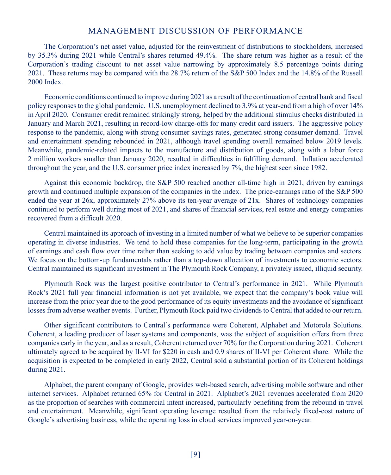### MANAGEMENT DISCUSSION OF PERFORMANCE

The Corporation's net asset value, adjusted for the reinvestment of distributions to stockholders, increased by 35.3% during 2021 while Central's shares returned 49.4%. The share return was higher as a result of the Corporation's trading discount to net asset value narrowing by approximately 8.5 percentage points during 2021. These returns may be compared with the 28.7% return of the S&P 500 Index and the 14.8% of the Russell 2000 Index.

Economic conditions continued to improve during 2021 as a result of the continuation of central bank and fiscal policy responses to the global pandemic. U.S. unemployment declined to 3.9% at year-end from a high of over 14% in April 2020. Consumer credit remained strikingly strong, helped by the additional stimulus checks distributed in January and March 2021, resulting in record-low charge-offs for many credit card issuers. The aggressive policy response to the pandemic, along with strong consumer savings rates, generated strong consumer demand. Travel and entertainment spending rebounded in 2021, although travel spending overall remained below 2019 levels. Meanwhile, pandemic-related impacts to the manufacture and distribution of goods, along with a labor force 2 million workers smaller than January 2020, resulted in difficulties in fulfilling demand. Inflation accelerated throughout the year, and the U.S. consumer price index increased by 7%, the highest seen since 1982.

Against this economic backdrop, the S&P 500 reached another all-time high in 2021, driven by earnings growth and continued multiple expansion of the companies in the index. The price-earnings ratio of the S&P 500 ended the year at 26x, approximately 27% above its ten-year average of 21x. Shares of technology companies continued to perform well during most of 2021, and shares of financial services, real estate and energy companies recovered from a difficult 2020.

Central maintained its approach of investing in a limited number of what we believe to be superior companies operating in diverse industries. We tend to hold these companies for the long-term, participating in the growth of earnings and cash flow over time rather than seeking to add value by trading between companies and sectors. We focus on the bottom-up fundamentals rather than a top-down allocation of investments to economic sectors. Central maintained its significant investment in The Plymouth Rock Company, a privately issued, illiquid security.

Plymouth Rock was the largest positive contributor to Central's performance in 2021. While Plymouth Rock's 2021 full year financial information is not yet available, we expect that the company's book value will increase from the prior year due to the good performance of its equity investments and the avoidance of significant losses from adverse weather events. Further, Plymouth Rock paid two dividends to Central that added to our return.

Other significant contributors to Central's performance were Coherent, Alphabet and Motorola Solutions. Coherent, a leading producer of laser systems and components, was the subject of acquisition offers from three companies early in the year, and as a result, Coherent returned over 70% for the Corporation during 2021. Coherent ultimately agreed to be acquired by II-VI for \$220 in cash and 0.9 shares of II-VI per Coherent share. While the acquisition is expected to be completed in early 2022, Central sold a substantial portion of its Coherent holdings during 2021.

Alphabet, the parent company of Google, provides web-based search, advertising mobile software and other internet services. Alphabet returned 65% for Central in 2021. Alphabet's 2021 revenues accelerated from 2020 as the proportion of searches with commercial intent increased, particularly benefiting from the rebound in travel and entertainment. Meanwhile, significant operating leverage resulted from the relatively fixed-cost nature of Google's advertising business, while the operating loss in cloud services improved year-on-year.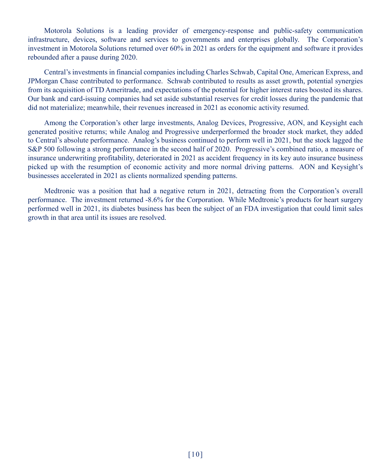Motorola Solutions is a leading provider of emergency-response and public-safety communication infrastructure, devices, software and services to governments and enterprises globally. The Corporation's investment in Motorola Solutions returned over 60% in 2021 as orders for the equipment and software it provides rebounded after a pause during 2020.

Central's investments in financial companies including Charles Schwab, Capital One, American Express, and JPMorgan Chase contributed to performance. Schwab contributed to results as asset growth, potential synergies from its acquisition of TD Ameritrade, and expectations of the potential for higher interest rates boosted its shares. Our bank and card-issuing companies had set aside substantial reserves for credit losses during the pandemic that did not materialize; meanwhile, their revenues increased in 2021 as economic activity resumed.

Among the Corporation's other large investments, Analog Devices, Progressive, AON, and Keysight each generated positive returns; while Analog and Progressive underperformed the broader stock market, they added to Central's absolute performance. Analog's business continued to perform well in 2021, but the stock lagged the S&P 500 following a strong performance in the second half of 2020. Progressive's combined ratio, a measure of insurance underwriting profitability, deteriorated in 2021 as accident frequency in its key auto insurance business picked up with the resumption of economic activity and more normal driving patterns. AON and Keysight's businesses accelerated in 2021 as clients normalized spending patterns.

Medtronic was a position that had a negative return in 2021, detracting from the Corporation's overall performance. The investment returned -8.6% for the Corporation. While Medtronic's products for heart surgery performed well in 2021, its diabetes business has been the subject of an FDA investigation that could limit sales growth in that area until its issues are resolved.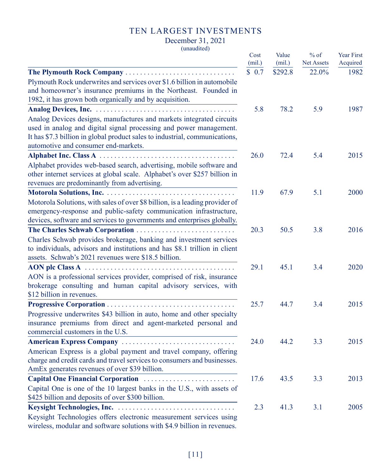# TEN LARGEST INVESTMENTS

# December 31, 2021

(unaudited)

|                                                                                                                                                                                                                                                                                           | Cost<br>(mil.) | Value<br>(mil.) | $%$ of<br>Net Assets | Year First<br>Acquired |
|-------------------------------------------------------------------------------------------------------------------------------------------------------------------------------------------------------------------------------------------------------------------------------------------|----------------|-----------------|----------------------|------------------------|
|                                                                                                                                                                                                                                                                                           | \$0.7          | \$292.8         | 22.0%                | 1982                   |
| Plymouth Rock underwrites and services over \$1.6 billion in automobile                                                                                                                                                                                                                   |                |                 |                      |                        |
| and homeowner's insurance premiums in the Northeast. Founded in                                                                                                                                                                                                                           |                |                 |                      |                        |
| 1982, it has grown both organically and by acquisition.                                                                                                                                                                                                                                   |                |                 |                      |                        |
|                                                                                                                                                                                                                                                                                           | 5.8            | 78.2            | 5.9                  | 1987                   |
| Analog Devices designs, manufactures and markets integrated circuits                                                                                                                                                                                                                      |                |                 |                      |                        |
| used in analog and digital signal processing and power management.                                                                                                                                                                                                                        |                |                 |                      |                        |
| It has \$7.3 billion in global product sales to industrial, communications,                                                                                                                                                                                                               |                |                 |                      |                        |
| automotive and consumer end-markets.<br><u> 1989 - Johann Barn, amerikansk politiker (</u>                                                                                                                                                                                                |                |                 |                      |                        |
|                                                                                                                                                                                                                                                                                           | 26.0           | 72.4            | 5.4                  | 2015                   |
| Alphabet provides web-based search, advertising, mobile software and                                                                                                                                                                                                                      |                |                 |                      |                        |
| other internet services at global scale. Alphabet's over \$257 billion in                                                                                                                                                                                                                 |                |                 |                      |                        |
| revenues are predominantly from advertising.                                                                                                                                                                                                                                              |                |                 |                      |                        |
|                                                                                                                                                                                                                                                                                           | 11.9           | 67.9            | 5.1                  | 2000                   |
| Motorola Solutions, with sales of over \$8 billion, is a leading provider of                                                                                                                                                                                                              |                |                 |                      |                        |
| emergency-response and public-safety communication infrastructure,                                                                                                                                                                                                                        |                |                 |                      |                        |
| devices, software and services to governments and enterprises globally.                                                                                                                                                                                                                   |                |                 |                      |                        |
|                                                                                                                                                                                                                                                                                           | 20.3           | 50.5            | 3.8                  | 2016                   |
| Charles Schwab provides brokerage, banking and investment services                                                                                                                                                                                                                        |                |                 |                      |                        |
| to individuals, advisors and institutions and has \$8.1 trillion in client                                                                                                                                                                                                                |                |                 |                      |                        |
| assets. Schwab's 2021 revenues were \$18.5 billion.                                                                                                                                                                                                                                       |                |                 |                      |                        |
|                                                                                                                                                                                                                                                                                           | 29.1           | 45.1            | 3.4                  | 2020                   |
| AON is a professional services provider, comprised of risk, insurance                                                                                                                                                                                                                     |                |                 |                      |                        |
| brokerage consulting and human capital advisory services, with                                                                                                                                                                                                                            |                |                 |                      |                        |
| \$12 billion in revenues.<br><u> 1989 - Johann Barn, mars ann an t-Amhain Aonaich an t-Aonaich an t-Aonaich ann an t-Aonaich ann an t-Aonaich</u>                                                                                                                                         |                |                 |                      |                        |
|                                                                                                                                                                                                                                                                                           | 25.7           | 44.7            | 3.4                  | 2015                   |
| Progressive underwrites \$43 billion in auto, home and other specialty                                                                                                                                                                                                                    |                |                 |                      |                        |
| insurance premiums from direct and agent-marketed personal and                                                                                                                                                                                                                            |                |                 |                      |                        |
| commercial customers in the U.S.                                                                                                                                                                                                                                                          |                |                 |                      |                        |
|                                                                                                                                                                                                                                                                                           | 24.0           | 44.2            | 3.3                  | 2015                   |
| American Express is a global payment and travel company, offering                                                                                                                                                                                                                         |                |                 |                      |                        |
| charge and credit cards and travel services to consumers and businesses.                                                                                                                                                                                                                  |                |                 |                      |                        |
| AmEx generates revenues of over \$39 billion.                                                                                                                                                                                                                                             |                |                 |                      |                        |
|                                                                                                                                                                                                                                                                                           | 17.6           | 43.5            | 3.3                  | 2013                   |
| Capital One is one of the 10 largest banks in the U.S., with assets of                                                                                                                                                                                                                    |                |                 |                      |                        |
| \$425 billion and deposits of over \$300 billion.<br><u> 1989 - Jan Barbara Barat, prima popular popular popular popular popular popular popular popular popular popular popular popular popular popular popular popular popular popular popular popular popular popular popular popu</u> |                |                 |                      |                        |
|                                                                                                                                                                                                                                                                                           | 2.3            | 41.3            | 3.1                  | 2005                   |
| Keysight Technologies offers electronic measurement services using                                                                                                                                                                                                                        |                |                 |                      |                        |

wireless, modular and software solutions with \$4.9 billion in revenues.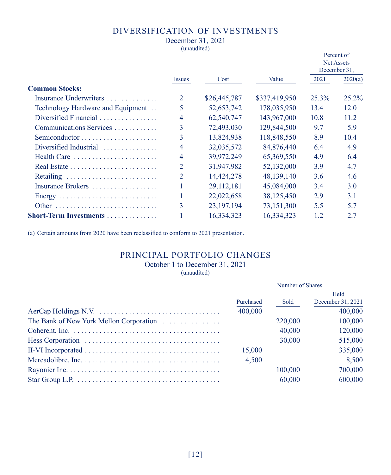# DIVERSIFICATION OF INVESTMENTS

December 31, 2021 (unaudited)

|                                                              |                |              |               |       | Percent of<br><b>Net Assets</b><br>December 31, |
|--------------------------------------------------------------|----------------|--------------|---------------|-------|-------------------------------------------------|
|                                                              | <i>Issues</i>  | Cost         | Value         | 2021  | 2020(a)                                         |
| <b>Common Stocks:</b>                                        |                |              |               |       |                                                 |
| Insurance Underwriters                                       | $\overline{2}$ | \$26,445,787 | \$337,419,950 | 25.3% | 25.2%                                           |
| Technology Hardware and Equipment                            | 5              | 52,653,742   | 178,035,950   | 13.4  | 12.0                                            |
| Diversified Financial                                        | 4              | 62,540,747   | 143,967,000   | 10.8  | 11.2                                            |
| Communications Services                                      | 3              | 72,493,030   | 129,844,500   | 9.7   | 5.9                                             |
| Semiconductor                                                | 3              | 13,824,938   | 118,848,550   | 8.9   | 10.4                                            |
| Diversified Industrial                                       | 4              | 32,035,572   | 84,876,440    | 6.4   | 4.9                                             |
| Health Care $\ldots, \ldots, \ldots, \ldots, \ldots, \ldots$ | 4              | 39,972,249   | 65,369,550    | 4.9   | 6.4                                             |
|                                                              | $\overline{2}$ | 31,947,982   | 52,132,000    | 3.9   | 4.7                                             |
| Retailing                                                    | 2              | 14,424,278   | 48, 139, 140  | 3.6   | 4.6                                             |
| Insurance Brokers                                            |                | 29, 112, 181 | 45,084,000    | 3.4   | 3.0                                             |
|                                                              |                | 22,022,658   | 38,125,450    | 2.9   | 3.1                                             |
| Other                                                        | 3              | 23, 197, 194 | 73,151,300    | 5.5   | 5.7                                             |
| <b>Short-Term Investments</b>                                |                | 16,334,323   | 16,334,323    | 1.2   | 2.7                                             |

(a) Certain amounts from 2020 have been reclassified to conform to 2021 presentation.

# PRINCIPAL PORTFOLIO CHANGES

### October 1 to December 31, 2021

(unaudited)

|                                         | Number of Shares |         |                           |  |
|-----------------------------------------|------------------|---------|---------------------------|--|
|                                         | Purchased        | Sold    | Held<br>December 31, 2021 |  |
|                                         | 400,000          |         | 400,000                   |  |
| The Bank of New York Mellon Corporation |                  | 220,000 | 100,000                   |  |
|                                         |                  | 40,000  | 120,000                   |  |
|                                         |                  | 30,000  | 515,000                   |  |
|                                         | 15,000           |         | 335,000                   |  |
|                                         | 4,500            |         | 8.500                     |  |
|                                         |                  | 100,000 | 700,000                   |  |
|                                         |                  | 60.000  | 600,000                   |  |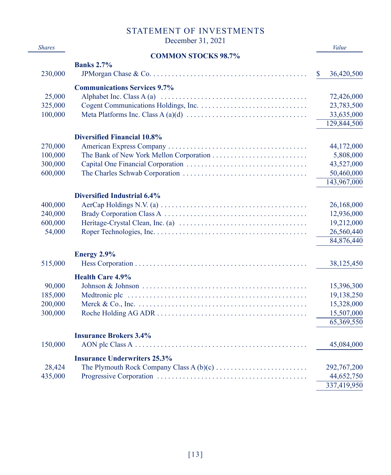# STATEMENT OF INVESTMENTS

December 31, 2021

| <b>Shares</b> |                                                                                                                  |              | Value       |
|---------------|------------------------------------------------------------------------------------------------------------------|--------------|-------------|
|               | <b>COMMON STOCKS 98.7%</b>                                                                                       |              |             |
|               | <b>Banks 2.7%</b>                                                                                                |              |             |
| 230,000       |                                                                                                                  | <sup>S</sup> | 36,420,500  |
|               | <b>Communications Services 9.7%</b>                                                                              |              |             |
| 25,000        |                                                                                                                  |              | 72,426,000  |
| 325,000       |                                                                                                                  |              | 23,783,500  |
| 100,000       |                                                                                                                  |              | 33,635,000  |
|               |                                                                                                                  |              | 129,844,500 |
|               | <b>Diversified Financial 10.8%</b>                                                                               |              |             |
| 270,000       |                                                                                                                  |              | 44,172,000  |
| 100,000       |                                                                                                                  |              | 5,808,000   |
| 300,000       |                                                                                                                  |              | 43,527,000  |
| 600,000       |                                                                                                                  |              | 50,460,000  |
|               |                                                                                                                  |              | 143,967,000 |
|               | <b>Diversified Industrial 6.4%</b>                                                                               |              |             |
| 400,000       | $AerCap$ Holdings N.V. (a) $\dots \dots \dots \dots \dots \dots \dots \dots \dots \dots \dots \dots \dots \dots$ |              | 26,168,000  |
| 240,000       |                                                                                                                  |              | 12,936,000  |
| 600,000       |                                                                                                                  |              | 19,212,000  |
| 54,000        |                                                                                                                  |              | 26,560,440  |
|               |                                                                                                                  |              | 84,876,440  |
|               |                                                                                                                  |              |             |
|               | Energy 2.9%                                                                                                      |              |             |
| 515,000       |                                                                                                                  |              | 38,125,450  |
|               | <b>Health Care 4.9%</b>                                                                                          |              |             |
| 90,000        |                                                                                                                  |              | 15,396,300  |
| 185,000       | Medtronic plc                                                                                                    |              | 19,138,250  |
| 200,000       |                                                                                                                  |              | 15,328,000  |
| 300,000       |                                                                                                                  |              | 15,507,000  |
|               |                                                                                                                  |              | 65,369,550  |
|               | <b>Insurance Brokers 3.4%</b>                                                                                    |              |             |
| 150,000       |                                                                                                                  |              | 45,084,000  |
|               | <b>Insurance Underwriters 25.3%</b>                                                                              |              |             |
| 28,424        |                                                                                                                  |              | 292,767,200 |
| 435,000       |                                                                                                                  |              | 44,652,750  |
|               |                                                                                                                  |              | 337,419,950 |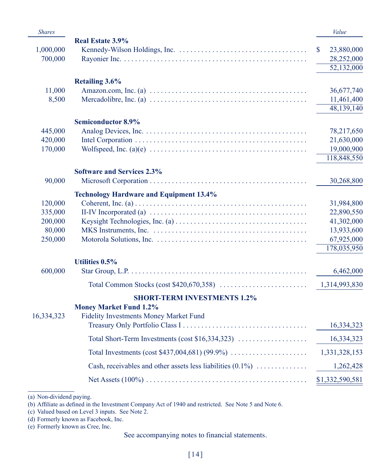| <b>Shares</b> |                                                               | Value            |
|---------------|---------------------------------------------------------------|------------------|
|               | Real Estate 3.9%                                              |                  |
| 1,000,000     |                                                               | \$<br>23,880,000 |
| 700,000       |                                                               | 28,252,000       |
|               |                                                               | 52,132,000       |
|               | <b>Retailing 3.6%</b>                                         |                  |
| 11,000        |                                                               | 36,677,740       |
| 8,500         |                                                               | 11,461,400       |
|               |                                                               | 48,139,140       |
|               | <b>Semiconductor 8.9%</b>                                     |                  |
| 445,000       |                                                               | 78,217,650       |
| 420,000       |                                                               | 21,630,000       |
| 170,000       |                                                               | 19,000,900       |
|               |                                                               | 118,848,550      |
|               | <b>Software and Services 2.3%</b>                             |                  |
| 90,000        |                                                               | 30,268,800       |
|               | <b>Technology Hardware and Equipment 13.4%</b>                |                  |
| 120,000       |                                                               | 31,984,800       |
| 335,000       |                                                               | 22,890,550       |
| 200,000       |                                                               | 41,302,000       |
| 80,000        |                                                               | 13,933,600       |
| 250,000       |                                                               | 67,925,000       |
|               |                                                               | 178,035,950      |
|               | <b>Utilities 0.5%</b>                                         |                  |
| 600,000       |                                                               | 6,462,000        |
|               |                                                               | 1,314,993,830    |
|               | <b>SHORT-TERM INVESTMENTS 1.2%</b>                            |                  |
|               | <b>Money Market Fund 1.2%</b>                                 |                  |
| 16,334,323    | Fidelity Investments Money Market Fund                        |                  |
|               |                                                               | 16,334,323       |
|               |                                                               | 16,334,323       |
|               |                                                               | 1,331,328,153    |
|               | Cash, receivables and other assets less liabilities $(0.1\%)$ | 1,262,428        |
|               |                                                               | \$1,332,590,581  |
|               |                                                               |                  |

- (d) Formerly known as Facebook, Inc.
- (e) Formerly known as Cree, Inc.

<sup>(</sup>a) Non-dividend paying.

<sup>(</sup>b) Affiliate as defined in the Investment Company Act of 1940 and restricted. See Note 5 and Note 6.

<sup>(</sup>c) Valued based on Level 3 inputs. See Note 2.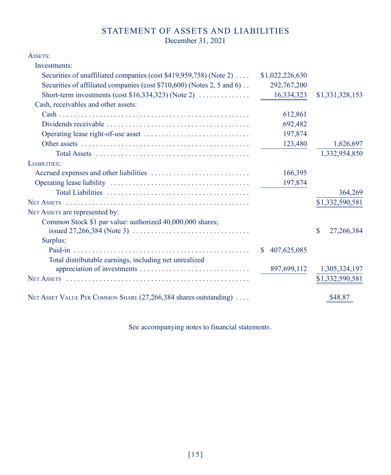# STATEMENT OF ASSETS AND LIABILITIES December 31, 2021

| ٠<br>٠<br>×.<br>٠<br>٠<br>I |  |
|-----------------------------|--|

| Investments:                                                            |                 |                           |
|-------------------------------------------------------------------------|-----------------|---------------------------|
| Securities of unaffiliated companies (cost \$419,959,758) (Note 2)      | \$1,022,226,630 |                           |
| Securities of affiliated companies (cost \$710,600) (Notes 2, 5 and 6). | 292,767,200     |                           |
| Short-term investments (cost $$16,334,323$ ) (Note 2)                   | 16,334,323      | \$1,331,328,153           |
| Cash, receivables and other assets:                                     |                 |                           |
|                                                                         | 612,861         |                           |
|                                                                         | 692,482         |                           |
|                                                                         | 197,874         |                           |
|                                                                         | 123,480         | 1,626,697                 |
|                                                                         |                 | 1.332.954.850             |
| LIABILITIES:                                                            |                 |                           |
|                                                                         | 166,395         |                           |
|                                                                         | 197,874         |                           |
|                                                                         |                 | 364,269                   |
|                                                                         |                 | \$1,332,590,581           |
| NET ASSETS are represented by:                                          |                 |                           |
| Common Stock \$1 par value: authorized 40,000,000 shares;               |                 |                           |
|                                                                         |                 | \$<br>27,266,384          |
| Surplus:                                                                |                 |                           |
|                                                                         | 407,625,085     |                           |
| Total distributable earnings, including net unrealized                  |                 |                           |
|                                                                         |                 | 897,699,112 1,305,324,197 |
|                                                                         |                 | \$1,332,590,581           |
|                                                                         |                 |                           |
| NET ASSET VALUE PER COMMON SHARE (27,266,384 shares outstanding)        |                 | \$48.87                   |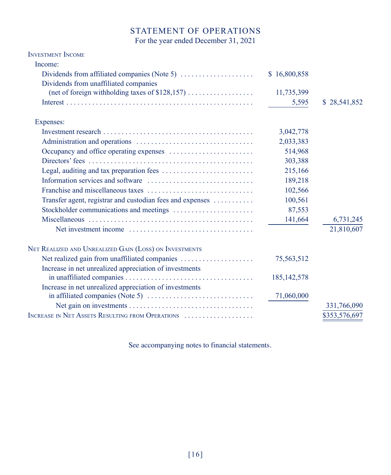# STATEMENT OF OPERATIONS

For the year ended December 31, 2021

| <b>INVESTMENT INCOME</b>                                  |               |               |
|-----------------------------------------------------------|---------------|---------------|
| Income:                                                   |               |               |
|                                                           | \$16,800,858  |               |
| Dividends from unaffiliated companies                     |               |               |
|                                                           | 11,735,399    |               |
|                                                           | 5,595         | \$28,541,852  |
| Expenses:                                                 |               |               |
|                                                           | 3,042,778     |               |
|                                                           | 2,033,383     |               |
|                                                           | 514,968       |               |
|                                                           | 303,388       |               |
|                                                           | 215,166       |               |
|                                                           | 189,218       |               |
|                                                           | 102,566       |               |
| Transfer agent, registrar and custodian fees and expenses | 100,561       |               |
|                                                           | 87,553        |               |
|                                                           | 141,664       | 6,731,245     |
|                                                           |               | 21,810,607    |
| NET REALIZED AND UNREALIZED GAIN (LOSS) ON INVESTMENTS    |               |               |
|                                                           | 75,563,512    |               |
| Increase in net unrealized appreciation of investments    |               |               |
|                                                           | 185, 142, 578 |               |
| Increase in net unrealized appreciation of investments    |               |               |
|                                                           | 71,060,000    |               |
|                                                           |               | 331,766,090   |
| INCREASE IN NET ASSETS RESULTING FROM OPERATIONS          |               | \$353,576,697 |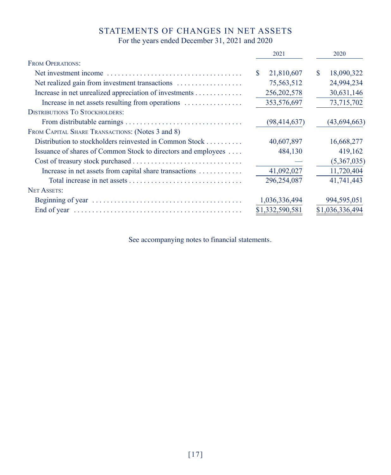# STATEMENTS OF CHANGES IN NET ASSETS For the years ended December 31, 2021 and 2020

|                                                               | 2021            | 2020                        |
|---------------------------------------------------------------|-----------------|-----------------------------|
| <b>FROM OPERATIONS:</b>                                       |                 |                             |
|                                                               | 21,810,607<br>S | 18,090,322<br><sup>\$</sup> |
|                                                               | 75,563,512      | 24,994,234                  |
| Increase in net unrealized appreciation of investments        | 256, 202, 578   | 30,631,146                  |
| Increase in net assets resulting from operations              | 353,576,697     | 73,715,702                  |
| <b>DISTRIBUTIONS TO STOCKHOLDERS:</b>                         |                 |                             |
|                                                               | (98, 414, 637)  | (43, 694, 663)              |
| FROM CAPITAL SHARE TRANSACTIONS: (Notes 3 and 8)              |                 |                             |
| Distribution to stockholders reinvested in Common Stock       | 40,607,897      | 16,668,277                  |
| Issuance of shares of Common Stock to directors and employees | 484,130         | 419,162                     |
|                                                               |                 | (5,367,035)                 |
| Increase in net assets from capital share transactions        | 41,092,027      | 11,720,404                  |
|                                                               | 296,254,087     | 41,741,443                  |
| <b>NET ASSETS:</b>                                            |                 |                             |
|                                                               | 1,036,336,494   | 994,595,051                 |
|                                                               | \$1,332,590,581 | \$1,036,336,494             |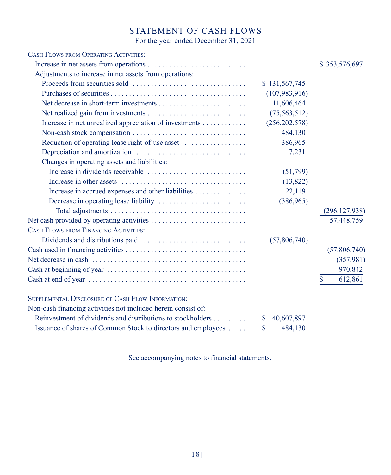# STATEMENT OF CASH FLOWS For the year ended December 31, 2021

| <b>CASH FLOWS FROM OPERATING ACTIVITIES:</b>                  |                 |                 |
|---------------------------------------------------------------|-----------------|-----------------|
|                                                               |                 | \$353,576,697   |
| Adjustments to increase in net assets from operations:        |                 |                 |
|                                                               | \$131,567,745   |                 |
|                                                               | (107, 983, 916) |                 |
|                                                               | 11,606,464      |                 |
|                                                               | (75, 563, 512)  |                 |
| Increase in net unrealized appreciation of investments        | (256, 202, 578) |                 |
|                                                               | 484,130         |                 |
| Reduction of operating lease right-of-use asset               | 386,965         |                 |
|                                                               | 7,231           |                 |
| Changes in operating assets and liabilities:                  |                 |                 |
|                                                               | (51,799)        |                 |
|                                                               | (13,822)        |                 |
| Increase in accrued expenses and other liabilities            | 22,119          |                 |
|                                                               | (386,965)       |                 |
|                                                               |                 | (296, 127, 938) |
|                                                               |                 | 57,448,759      |
| CASH FLOWS FROM FINANCING ACTIVITIES:                         |                 |                 |
|                                                               | (57,806,740)    |                 |
|                                                               |                 | (57,806,740)    |
|                                                               |                 | (357, 981)      |
|                                                               |                 | 970,842         |
|                                                               |                 | 612,861<br>S    |
| <b>SUPPLEMENTAL DISCLOSURE OF CASH FLOW INFORMATION:</b>      |                 |                 |
| Non-cash financing activities not included herein consist of: |                 |                 |
| Reinvestment of dividends and distributions to stockholders   | 40,607,897<br>S |                 |
| Issuance of shares of Common Stock to directors and employees | 484,130<br>S    |                 |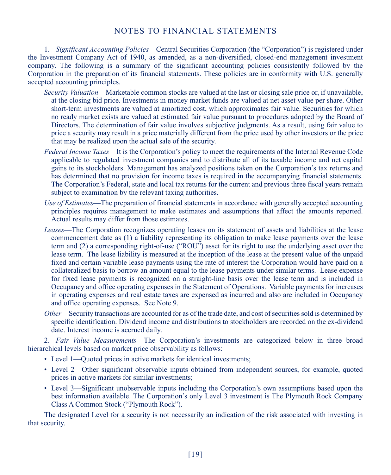### NOTES TO FINANCIAL STATEMENTS

1. *Significant Accounting Policies*—Central Securities Corporation (the "Corporation") is registered under the Investment Company Act of 1940, as amended, as a non-diversified, closed-end management investment company. The following is a summary of the significant accounting policies consistently followed by the Corporation in the preparation of its financial statements. These policies are in conformity with U.S. generally accepted accounting principles.

- *Security Valuation*—Marketable common stocks are valued at the last or closing sale price or, if unavailable, at the closing bid price. Investments in money market funds are valued at net asset value per share. Other short-term investments are valued at amortized cost, which approximates fair value. Securities for which no ready market exists are valued at estimated fair value pursuant to procedures adopted by the Board of Directors. The determination of fair value involves subjective judgments. As a result, using fair value to price a security may result in a price materially different from the price used by other investors or the price that may be realized upon the actual sale of the security.
- *Federal Income Taxes*—It is the Corporation's policy to meet the requirements of the Internal Revenue Code applicable to regulated investment companies and to distribute all of its taxable income and net capital gains to its stockholders. Management has analyzed positions taken on the Corporation's tax returns and has determined that no provision for income taxes is required in the accompanying financial statements. The Corporation's Federal, state and local tax returns for the current and previous three fiscal years remain subject to examination by the relevant taxing authorities.
- *Use of Estimates*—The preparation of financial statements in accordance with generally accepted accounting principles requires management to make estimates and assumptions that affect the amounts reported. Actual results may differ from those estimates.
- *Leases*—The Corporation recognizes operating leases on its statement of assets and liabilities at the lease commencement date as (1) a liability representing its obligation to make lease payments over the lease term and (2) a corresponding right-of-use ("ROU") asset for its right to use the underlying asset over the lease term. The lease liability is measured at the inception of the lease at the present value of the unpaid fixed and certain variable lease payments using the rate of interest the Corporation would have paid on a collateralized basis to borrow an amount equal to the lease payments under similar terms. Lease expense for fixed lease payments is recognized on a straight-line basis over the lease term and is included in Occupancy and office operating expenses in the Statement of Operations. Variable payments for increases in operating expenses and real estate taxes are expensed as incurred and also are included in Occupancy and office operating expenses. See Note 9.
- *Other*—Security transactions are accounted for as of the trade date, and cost of securities sold is determined by specific identification. Dividend income and distributions to stockholders are recorded on the ex-dividend date. Interest income is accrued daily.

2. *Fair Value Measurements*—The Corporation's investments are categorized below in three broad hierarchical levels based on market price observability as follows:

- Level 1—Quoted prices in active markets for identical investments;
- Level 2—Other significant observable inputs obtained from independent sources, for example, quoted prices in active markets for similar investments;
- Level 3—Significant unobservable inputs including the Corporation's own assumptions based upon the best information available. The Corporation's only Level 3 investment is The Plymouth Rock Company Class A Common Stock ("Plymouth Rock").

The designated Level for a security is not necessarily an indication of the risk associated with investing in that security.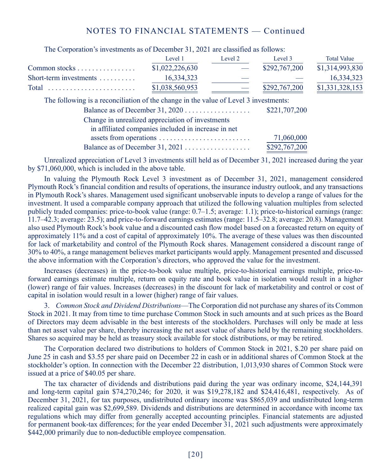### NOTES TO FINANCIAL STATEMENTS — Continued

The Corporation's investments as of December 31, 2021 are classified as follows:

|                                           | Level 1         | Level 2 | Level 3       | <b>Total Value</b> |
|-------------------------------------------|-----------------|---------|---------------|--------------------|
| Common stocks                             | \$1,022,226,630 |         | \$292,767,200 | \$1,314,993,830    |
| Short-term investments $\ldots$           | 16.334.323      |         |               | 16,334,323         |
| Total entering the continuum of the Total | \$1,038,560,953 |         | \$292,767,200 | \$1,331,328,153    |

The following is a reconciliation of the change in the value of Level 3 investments:

|                                                     | \$221,707,200 |
|-----------------------------------------------------|---------------|
| Change in unrealized appreciation of investments    |               |
| in affiliated companies included in increase in net |               |
|                                                     | 71,060,000    |
|                                                     | \$292,767,200 |

Unrealized appreciation of Level 3 investments still held as of December 31, 2021 increased during the year by \$71,060,000, which is included in the above table.

In valuing the Plymouth Rock Level 3 investment as of December 31, 2021, management considered Plymouth Rock's financial condition and results of operations, the insurance industry outlook, and any transactions in Plymouth Rock's shares. Management used significant unobservable inputs to develop a range of values for the investment. It used a comparable company approach that utilized the following valuation multiples from selected publicly traded companies: price-to-book value (range: 0.7–1.5; average: 1.1); price-to-historical earnings (range: 11.7–42.3; average: 23.5); and price-to-forward earnings estimates (range: 11.5–32.8; average: 20.8). Management also used Plymouth Rock's book value and a discounted cash flow model based on a forecasted return on equity of approximately 11% and a cost of capital of approximately 10%. The average of these values was then discounted for lack of marketability and control of the Plymouth Rock shares. Management considered a discount range of 30% to 40%, a range management believes market participants would apply. Management presented and discussed the above information with the Corporation's directors, who approved the value for the investment.

Increases (decreases) in the price-to-book value multiple, price-to-historical earnings multiple, price-toforward earnings estimate multiple, return on equity rate and book value in isolation would result in a higher (lower) range of fair values. Increases (decreases) in the discount for lack of marketability and control or cost of capital in isolation would result in a lower (higher) range of fair values.

3. *Common Stock and Dividend Distributions*—The Corporation did not purchase any shares of its Common Stock in 2021. It may from time to time purchase Common Stock in such amounts and at such prices as the Board of Directors may deem advisable in the best interests of the stockholders. Purchases will only be made at less than net asset value per share, thereby increasing the net asset value of shares held by the remaining stockholders. Shares so acquired may be held as treasury stock available for stock distributions, or may be retired.

The Corporation declared two distributions to holders of Common Stock in 2021, \$.20 per share paid on June 25 in cash and \$3.55 per share paid on December 22 in cash or in additional shares of Common Stock at the stockholder's option. In connection with the December 22 distribution, 1,013,930 shares of Common Stock were issued at a price of \$40.05 per share.

The tax character of dividends and distributions paid during the year was ordinary income, \$24,144,391 and long-term capital gain \$74,270,246; for 2020, it was \$19,278,182 and \$24,416,481, respectively. As of December 31, 2021, for tax purposes, undistributed ordinary income was \$865,039 and undistributed long-term realized capital gain was \$2,699,589. Dividends and distributions are determined in accordance with income tax regulations which may differ from generally accepted accounting principles. Financial statements are adjusted for permanent book-tax differences; for the year ended December 31, 2021 such adjustments were approximately \$442,000 primarily due to non-deductible employee compensation.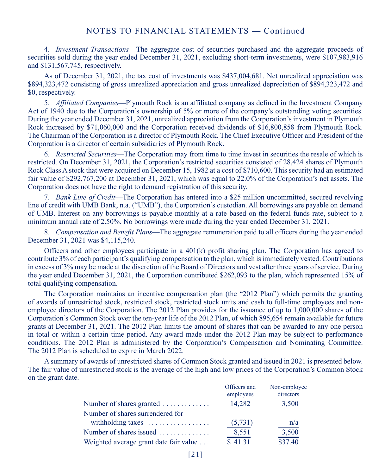### NOTES TO FINANCIAL STATEMENTS — Continued

4. *Investment Transactions*—The aggregate cost of securities purchased and the aggregate proceeds of securities sold during the year ended December 31, 2021, excluding short-term investments, were \$107,983,916 and \$131,567,745, respectively.

As of December 31, 2021, the tax cost of investments was \$437,004,681. Net unrealized appreciation was \$894,323,472 consisting of gross unrealized appreciation and gross unrealized depreciation of \$894,323,472 and \$0, respectively.

5. *Affiliated Companies*—Plymouth Rock is an affiliated company as defined in the Investment Company Act of 1940 due to the Corporation's ownership of 5% or more of the company's outstanding voting securities. During the year ended December 31, 2021, unrealized appreciation from the Corporation's investment in Plymouth Rock increased by \$71,060,000 and the Corporation received dividends of \$16,800,858 from Plymouth Rock. The Chairman of the Corporation is a director of Plymouth Rock. The Chief Executive Officer and President of the Corporation is a director of certain subsidiaries of Plymouth Rock.

6. *Restricted Securities*—The Corporation may from time to time invest in securities the resale of which is restricted. On December 31, 2021, the Corporation's restricted securities consisted of 28,424 shares of Plymouth Rock Class A stock that were acquired on December 15, 1982 at a cost of \$710,600. This security had an estimated fair value of \$292,767,200 at December 31, 2021, which was equal to 22.0% of the Corporation's net assets. The Corporation does not have the right to demand registration of this security.

7. *Bank Line of Credit*—The Corporation has entered into a \$25 million uncommitted, secured revolving line of credit with UMB Bank, n.a. ("UMB"), the Corporation's custodian. All borrowings are payable on demand of UMB. Interest on any borrowings is payable monthly at a rate based on the federal funds rate, subject to a minimum annual rate of 2.50%. No borrowings were made during the year ended December 31, 2021.

8. *Compensation and Benefit Plans*—The aggregate remuneration paid to all officers during the year ended December 31, 2021 was \$4,115,240.

Officers and other employees participate in a  $401(k)$  profit sharing plan. The Corporation has agreed to contribute 3% of each participant's qualifying compensation to the plan, which is immediately vested. Contributions in excess of 3% may be made at the discretion of the Board of Directors and vest after three years of service. During the year ended December 31, 2021, the Corporation contributed \$262,093 to the plan, which represented 15% of total qualifying compensation.

The Corporation maintains an incentive compensation plan (the "2012 Plan") which permits the granting of awards of unrestricted stock, restricted stock, restricted stock units and cash to full-time employees and nonemployee directors of the Corporation. The 2012 Plan provides for the issuance of up to 1,000,000 shares of the Corporation's Common Stock over the ten-year life of the 2012 Plan, of which 895,654 remain available for future grants at December 31, 2021. The 2012 Plan limits the amount of shares that can be awarded to any one person in total or within a certain time period. Any award made under the 2012 Plan may be subject to performance conditions. The 2012 Plan is administered by the Corporation's Compensation and Nominating Committee. The 2012 Plan is scheduled to expire in March 2022.

A summary of awards of unrestricted shares of Common Stock granted and issued in 2021 is presented below. The fair value of unrestricted stock is the average of the high and low prices of the Corporation's Common Stock on the grant date.

|                                             | Officers and<br>employees | Non-employee<br>directors |
|---------------------------------------------|---------------------------|---------------------------|
| Number of shares granted                    | 14,282                    | 3,500                     |
| Number of shares surrendered for            |                           |                           |
| withholding taxes                           | (5,731)                   | n/a                       |
| Number of shares issued $\ldots$ , $\ldots$ | 8,551                     | 3,500                     |
| Weighted average grant date fair value      | \$41.31                   | \$37.40                   |

[21]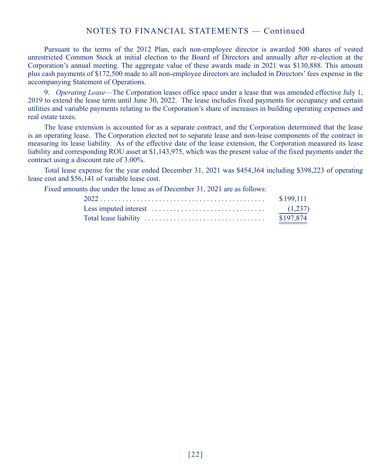### NOTES TO FINANCIAL STATEMENTS — Continued

Pursuant to the terms of the 2012 Plan, each non-employee director is awarded 500 shares of vested unrestricted Common Stock at initial election to the Board of Directors and annually after re-election at the Corporation's annual meeting. The aggregate value of these awards made in 2021 was \$130,888. This amount plus cash payments of \$172,500 made to all non-employee directors are included in Directors' fees expense in the accompanying Statement of Operations.

9. *Operating Lease*—The Corporation leases office space under a lease that was amended effective July 1, 2019 to extend the lease term until June 30, 2022. The lease includes fixed payments for occupancy and certain utilities and variable payments relating to the Corporation's share of increases in building operating expenses and real estate taxes.

The lease extension is accounted for as a separate contract, and the Corporation determined that the lease is an operating lease. The Corporation elected not to separate lease and non-lease components of the contract in measuring its lease liability. As of the effective date of the lease extension, the Corporation measured its lease liability and corresponding ROU asset at \$1,143,975, which was the present value of the fixed payments under the contract using a discount rate of 3.00%.

Total lease expense for the year ended December 31, 2021 was \$454,364 including \$398,223 of operating lease cost and \$56,141 of variable lease cost.

Fixed amounts due under the lease as of December 31, 2021 are as follows:

| \$199,111 |
|-----------|
| (1,237)   |
| \$197,874 |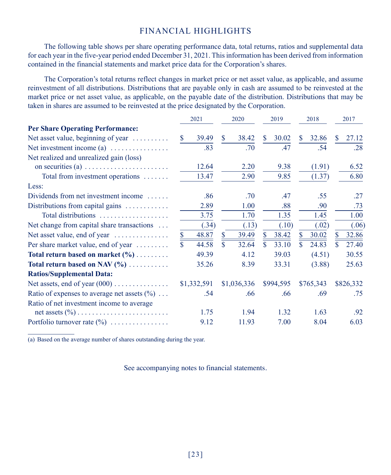# FINANCIAL HIGHLIGHTS

The following table shows per share operating performance data, total returns, ratios and supplemental data for each year in the five-year period ended December 31, 2021. This information has been derived from information contained in the financial statements and market price data for the Corporation's shares.

The Corporation's total returns reflect changes in market price or net asset value, as applicable, and assume reinvestment of all distributions. Distributions that are payable only in cash are assumed to be reinvested at the market price or net asset value, as applicable, on the payable date of the distribution. Distributions that may be taken in shares are assumed to be reinvested at the price designated by the Corporation.

|                                                 |    | 2021        |              | 2020        |               | 2019      |               | 2018      |               | 2017      |
|-------------------------------------------------|----|-------------|--------------|-------------|---------------|-----------|---------------|-----------|---------------|-----------|
| <b>Per Share Operating Performance:</b>         |    |             |              |             |               |           |               |           |               |           |
| Net asset value, beginning of year              | S. | 39.49       | <sup>S</sup> | 38.42       | <sup>\$</sup> | 30.02     | <sup>S</sup>  | 32.86     | S.            | 27.12     |
| Net investment income $(a)$                     |    | .83         |              | .70         |               | .47       |               | .54       |               | .28       |
| Net realized and unrealized gain (loss)         |    |             |              |             |               |           |               |           |               |           |
|                                                 |    | 12.64       |              | 2.20        |               | 9.38      |               | (1.91)    |               | 6.52      |
| Total from investment operations                |    | 13.47       |              | 2.90        |               | 9.85      |               | (1.37)    |               | 6.80      |
| Less:                                           |    |             |              |             |               |           |               |           |               |           |
| Dividends from net investment income            |    | .86         |              | .70         |               | .47       |               | .55       |               | .27       |
| Distributions from capital gains                |    | 2.89        |              | 1.00        |               | .88       |               | .90       |               | .73       |
| Total distributions                             |    | 3.75        |              | 1.70        |               | 1.35      |               | 1.45      |               | 1.00      |
| Net change from capital share transactions      |    | (.34)       |              | (.13)       |               | (.10)     |               | (.02)     |               | (.06)     |
| Net asset value, end of year                    | \$ | 48.87       | S            | 39.49       | <sup>\$</sup> | 38.42     | <sup>\$</sup> | 30.02     | \$.           | 32.86     |
| Per share market value, end of year             |    | 44.58       | \$           | 32.64       | \$            | 33.10     | \$.           | 24.83     | $\mathbf{\$}$ | 27.40     |
| Total return based on market $(\% )$            |    | 49.39       |              | 4.12        |               | 39.03     |               | (4.51)    |               | 30.55     |
| Total return based on NAV $(\%)$                |    | 35.26       |              | 8.39        |               | 33.31     |               | (3.88)    |               | 25.63     |
| <b>Ratios/Supplemental Data:</b>                |    |             |              |             |               |           |               |           |               |           |
| Net assets, end of year $(000)$                 |    | \$1,332,591 |              | \$1,036,336 |               | \$994,595 |               | \$765,343 |               | \$826,332 |
| Ratio of expenses to average net assets $(\% )$ |    | .54         |              | .66         |               | .66       |               | .69       |               | .75       |
| Ratio of net investment income to average       |    |             |              |             |               |           |               |           |               |           |
|                                                 |    | 1.75        |              | 1.94        |               | 1.32      |               | 1.63      |               | .92       |
| Portfolio turnover rate $(\%)$                  |    | 9.12        |              | 11.93       |               | 7.00      |               | 8.04      |               | 6.03      |

(a) Based on the average number of shares outstanding during the year.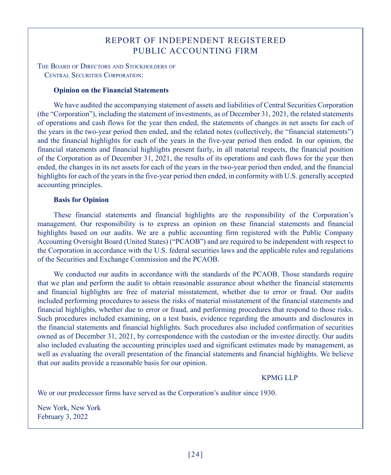# REPORT OF INDEPENDENT REGISTERED PUBLIC ACCOUNTING FIRM

The Board of Directors and Stockholders of Central Securities Corporation:

#### **Opinion on the Financial Statements**

We have audited the accompanying statement of assets and liabilities of Central Securities Corporation (the "Corporation"), including the statement of investments, as of December 31, 2021, the related statements of operations and cash flows for the year then ended, the statements of changes in net assets for each of the years in the two-year period then ended, and the related notes (collectively, the "financial statements") and the financial highlights for each of the years in the five-year period then ended. In our opinion, the financial statements and financial highlights present fairly, in all material respects, the financial position of the Corporation as of December 31, 2021, the results of its operations and cash flows for the year then ended, the changes in its net assets for each of the years in the two-year period then ended, and the financial highlights for each of the years in the five-year period then ended, in conformity with U.S. generally accepted accounting principles.

#### **Basis for Opinion**

These financial statements and financial highlights are the responsibility of the Corporation's management. Our responsibility is to express an opinion on these financial statements and financial highlights based on our audits. We are a public accounting firm registered with the Public Company Accounting Oversight Board (United States) ("PCAOB") and are required to be independent with respect to the Corporation in accordance with the U.S. federal securities laws and the applicable rules and regulations of the Securities and Exchange Commission and the PCAOB.

We conducted our audits in accordance with the standards of the PCAOB. Those standards require that we plan and perform the audit to obtain reasonable assurance about whether the financial statements and financial highlights are free of material misstatement, whether due to error or fraud. Our audits included performing procedures to assess the risks of material misstatement of the financial statements and financial highlights, whether due to error or fraud, and performing procedures that respond to those risks. Such procedures included examining, on a test basis, evidence regarding the amounts and disclosures in the financial statements and financial highlights. Such procedures also included confirmation of securities owned as of December 31, 2021, by correspondence with the custodian or the investee directly. Our audits also included evaluating the accounting principles used and significant estimates made by management, as well as evaluating the overall presentation of the financial statements and financial highlights. We believe that our audits provide a reasonable basis for our opinion.

#### KPMG LLP

We or our predecessor firms have served as the Corporation's auditor since 1930.

New York, New York February 3, 2022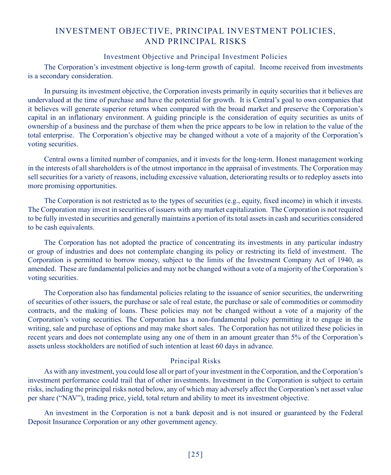# INVESTMENT OBJECTIVE, PRINCIPAL INVESTMENT POLICIES, AND PRINCIPAL RISKS

#### Investment Objective and Principal Investment Policies

The Corporation's investment objective is long-term growth of capital. Income received from investments is a secondary consideration.

In pursuing its investment objective, the Corporation invests primarily in equity securities that it believes are undervalued at the time of purchase and have the potential for growth. It is Central's goal to own companies that it believes will generate superior returns when compared with the broad market and preserve the Corporation's capital in an inflationary environment. A guiding principle is the consideration of equity securities as units of ownership of a business and the purchase of them when the price appears to be low in relation to the value of the total enterprise. The Corporation's objective may be changed without a vote of a majority of the Corporation's voting securities.

Central owns a limited number of companies, and it invests for the long-term. Honest management working in the interests of all shareholders is of the utmost importance in the appraisal of investments. The Corporation may sell securities for a variety of reasons, including excessive valuation, deteriorating results or to redeploy assets into more promising opportunities.

The Corporation is not restricted as to the types of securities (e.g., equity, fixed income) in which it invests. The Corporation may invest in securities of issuers with any market capitalization. The Corporation is not required to be fully invested in securities and generally maintains a portion of its total assets in cash and securities considered to be cash equivalents.

The Corporation has not adopted the practice of concentrating its investments in any particular industry or group of industries and does not contemplate changing its policy or restricting its field of investment. The Corporation is permitted to borrow money, subject to the limits of the Investment Company Act of 1940, as amended. These are fundamental policies and may not be changed without a vote of a majority of the Corporation's voting securities.

The Corporation also has fundamental policies relating to the issuance of senior securities, the underwriting of securities of other issuers, the purchase or sale of real estate, the purchase or sale of commodities or commodity contracts, and the making of loans. These policies may not be changed without a vote of a majority of the Corporation's voting securities. The Corporation has a non-fundamental policy permitting it to engage in the writing, sale and purchase of options and may make short sales. The Corporation has not utilized these policies in recent years and does not contemplate using any one of them in an amount greater than 5% of the Corporation's assets unless stockholders are notified of such intention at least 60 days in advance.

#### Principal Risks

As with any investment, you could lose all or part of your investment in the Corporation, and the Corporation's investment performance could trail that of other investments. Investment in the Corporation is subject to certain risks, including the principal risks noted below, any of which may adversely affect the Corporation's net asset value per share ("NAV"), trading price, yield, total return and ability to meet its investment objective.

An investment in the Corporation is not a bank deposit and is not insured or guaranteed by the Federal Deposit Insurance Corporation or any other government agency.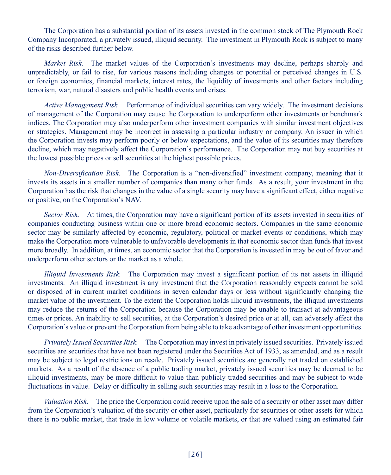The Corporation has a substantial portion of its assets invested in the common stock of The Plymouth Rock Company Incorporated, a privately issued, illiquid security. The investment in Plymouth Rock is subject to many of the risks described further below.

*Market Risk.* The market values of the Corporation's investments may decline, perhaps sharply and unpredictably, or fail to rise, for various reasons including changes or potential or perceived changes in U.S. or foreign economies, financial markets, interest rates, the liquidity of investments and other factors including terrorism, war, natural disasters and public health events and crises.

*Active Management Risk.* Performance of individual securities can vary widely. The investment decisions of management of the Corporation may cause the Corporation to underperform other investments or benchmark indices. The Corporation may also underperform other investment companies with similar investment objectives or strategies. Management may be incorrect in assessing a particular industry or company. An issuer in which the Corporation invests may perform poorly or below expectations, and the value of its securities may therefore decline, which may negatively affect the Corporation's performance. The Corporation may not buy securities at the lowest possible prices or sell securities at the highest possible prices.

*Non-Diversification Risk.* The Corporation is a "non-diversified" investment company, meaning that it invests its assets in a smaller number of companies than many other funds. As a result, your investment in the Corporation has the risk that changes in the value of a single security may have a significant effect, either negative or positive, on the Corporation's NAV.

*Sector Risk.* At times, the Corporation may have a significant portion of its assets invested in securities of companies conducting business within one or more broad economic sectors. Companies in the same economic sector may be similarly affected by economic, regulatory, political or market events or conditions, which may make the Corporation more vulnerable to unfavorable developments in that economic sector than funds that invest more broadly. In addition, at times, an economic sector that the Corporation is invested in may be out of favor and underperform other sectors or the market as a whole.

*Illiquid Investments Risk.* The Corporation may invest a significant portion of its net assets in illiquid investments. An illiquid investment is any investment that the Corporation reasonably expects cannot be sold or disposed of in current market conditions in seven calendar days or less without significantly changing the market value of the investment. To the extent the Corporation holds illiquid investments, the illiquid investments may reduce the returns of the Corporation because the Corporation may be unable to transact at advantageous times or prices. An inability to sell securities, at the Corporation's desired price or at all, can adversely affect the Corporation's value or prevent the Corporation from being able to take advantage of other investment opportunities.

*Privately Issued Securities Risk.* The Corporation may invest in privately issued securities. Privately issued securities are securities that have not been registered under the Securities Act of 1933, as amended, and as a result may be subject to legal restrictions on resale. Privately issued securities are generally not traded on established markets. As a result of the absence of a public trading market, privately issued securities may be deemed to be illiquid investments, may be more difficult to value than publicly traded securities and may be subject to wide fluctuations in value. Delay or difficulty in selling such securities may result in a loss to the Corporation.

*Valuation Risk.* The price the Corporation could receive upon the sale of a security or other asset may differ from the Corporation's valuation of the security or other asset, particularly for securities or other assets for which there is no public market, that trade in low volume or volatile markets, or that are valued using an estimated fair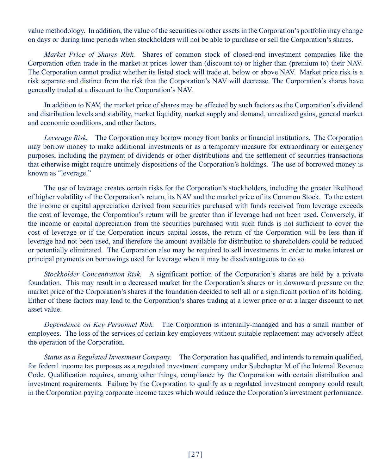value methodology. In addition, the value of the securities or other assets in the Corporation's portfolio may change on days or during time periods when stockholders will not be able to purchase or sell the Corporation's shares.

*Market Price of Shares Risk.* Shares of common stock of closed-end investment companies like the Corporation often trade in the market at prices lower than (discount to) or higher than (premium to) their NAV. The Corporation cannot predict whether its listed stock will trade at, below or above NAV. Market price risk is a risk separate and distinct from the risk that the Corporation's NAV will decrease. The Corporation's shares have generally traded at a discount to the Corporation's NAV.

In addition to NAV, the market price of shares may be affected by such factors as the Corporation's dividend and distribution levels and stability, market liquidity, market supply and demand, unrealized gains, general market and economic conditions, and other factors.

*Leverage Risk.* The Corporation may borrow money from banks or financial institutions. The Corporation may borrow money to make additional investments or as a temporary measure for extraordinary or emergency purposes, including the payment of dividends or other distributions and the settlement of securities transactions that otherwise might require untimely dispositions of the Corporation's holdings. The use of borrowed money is known as "leverage."

The use of leverage creates certain risks for the Corporation's stockholders, including the greater likelihood of higher volatility of the Corporation's return, its NAV and the market price of its Common Stock. To the extent the income or capital appreciation derived from securities purchased with funds received from leverage exceeds the cost of leverage, the Corporation's return will be greater than if leverage had not been used. Conversely, if the income or capital appreciation from the securities purchased with such funds is not sufficient to cover the cost of leverage or if the Corporation incurs capital losses, the return of the Corporation will be less than if leverage had not been used, and therefore the amount available for distribution to shareholders could be reduced or potentially eliminated. The Corporation also may be required to sell investments in order to make interest or principal payments on borrowings used for leverage when it may be disadvantageous to do so.

*Stockholder Concentration Risk.* A significant portion of the Corporation's shares are held by a private foundation. This may result in a decreased market for the Corporation's shares or in downward pressure on the market price of the Corporation's shares if the foundation decided to sell all or a significant portion of its holding. Either of these factors may lead to the Corporation's shares trading at a lower price or at a larger discount to net asset value.

*Dependence on Key Personnel Risk.* The Corporation is internally-managed and has a small number of employees. The loss of the services of certain key employees without suitable replacement may adversely affect the operation of the Corporation.

*Status as a Regulated Investment Company.* The Corporation has qualified, and intends to remain qualified, for federal income tax purposes as a regulated investment company under Subchapter M of the Internal Revenue Code. Qualification requires, among other things, compliance by the Corporation with certain distribution and investment requirements. Failure by the Corporation to qualify as a regulated investment company could result in the Corporation paying corporate income taxes which would reduce the Corporation's investment performance.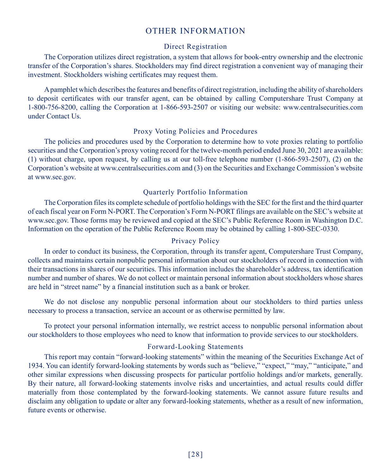### OTHER INFORMATION

#### Direct Registration

The Corporation utilizes direct registration, a system that allows for book-entry ownership and the electronic transfer of the Corporation's shares. Stockholders may find direct registration a convenient way of managing their investment. Stockholders wishing certificates may request them.

A pamphlet which describes the features and benefits of direct registration, including the ability of shareholders to deposit certificates with our transfer agent, can be obtained by calling Computershare Trust Company at 1-800-756-8200, calling the Corporation at 1-866-593-2507 or visiting our website: www.centralsecurities.com under Contact Us.

#### Proxy Voting Policies and Procedures

The policies and procedures used by the Corporation to determine how to vote proxies relating to portfolio securities and the Corporation's proxy voting record for the twelve-month period ended June 30, 2021 are available: (1) without charge, upon request, by calling us at our toll-free telephone number (1-866-593-2507), (2) on the Corporation's website at www.centralsecurities.com and (3) on the Securities and Exchange Commission's website at www.sec.gov.

#### Quarterly Portfolio Information

The Corporation files its complete schedule of portfolio holdings with the SEC for the first and the third quarter of each fiscal year on Form N-PORT. The Corporation's Form N-PORT filings are available on the SEC's website at www.sec.gov. Those forms may be reviewed and copied at the SEC's Public Reference Room in Washington D.C. Information on the operation of the Public Reference Room may be obtained by calling 1-800-SEC-0330.

### Privacy Policy

In order to conduct its business, the Corporation, through its transfer agent, Computershare Trust Company, collects and maintains certain nonpublic personal information about our stockholders of record in connection with their transactions in shares of our securities. This information includes the shareholder's address, tax identification number and number of shares. We do not collect or maintain personal information about stockholders whose shares are held in "street name" by a financial institution such as a bank or broker.

We do not disclose any nonpublic personal information about our stockholders to third parties unless necessary to process a transaction, service an account or as otherwise permitted by law.

To protect your personal information internally, we restrict access to nonpublic personal information about our stockholders to those employees who need to know that information to provide services to our stockholders.

#### Forward-Looking Statements

This report may contain "forward-looking statements" within the meaning of the Securities Exchange Act of 1934. You can identify forward-looking statements by words such as "believe," "expect," "may," "anticipate," and other similar expressions when discussing prospects for particular portfolio holdings and/or markets, generally. By their nature, all forward-looking statements involve risks and uncertainties, and actual results could differ materially from those contemplated by the forward-looking statements. We cannot assure future results and disclaim any obligation to update or alter any forward-looking statements, whether as a result of new information, future events or otherwise.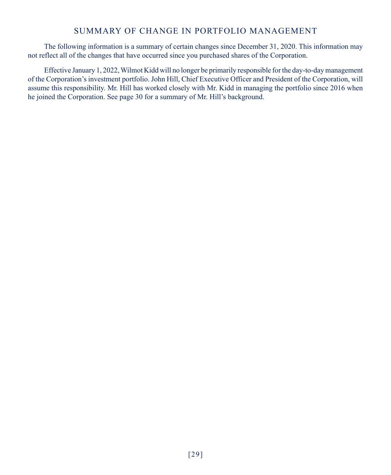# SUMMARY OF CHANGE IN PORTFOLIO MANAGEMENT

The following information is a summary of certain changes since December 31, 2020. This information may not reflect all of the changes that have occurred since you purchased shares of the Corporation.

Effective January 1, 2022, Wilmot Kidd will no longer be primarily responsible for the day-to-day management of the Corporation's investment portfolio. John Hill, Chief Executive Officer and President of the Corporation, will assume this responsibility. Mr. Hill has worked closely with Mr. Kidd in managing the portfolio since 2016 when he joined the Corporation. See page 30 for a summary of Mr. Hill's background.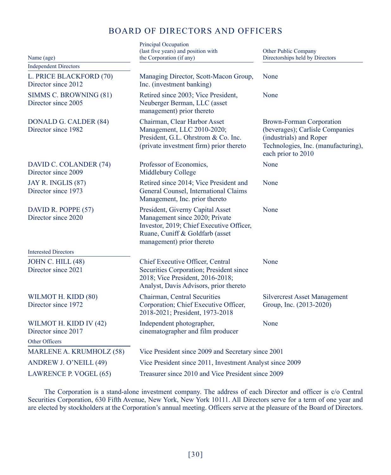# BOARD OF DIRECTORS AND OFFICERS

| Name (age)                                     | Principal Occupation<br>(last five years) and position with<br>the Corporation (if any)                                                                                        | Other Public Company<br>Directorships held by Directors                                                                                                    |  |  |  |
|------------------------------------------------|--------------------------------------------------------------------------------------------------------------------------------------------------------------------------------|------------------------------------------------------------------------------------------------------------------------------------------------------------|--|--|--|
| <b>Independent Directors</b>                   |                                                                                                                                                                                |                                                                                                                                                            |  |  |  |
| L. PRICE BLACKFORD (70)<br>Director since 2012 | Managing Director, Scott-Macon Group,<br>Inc. (investment banking)                                                                                                             | None                                                                                                                                                       |  |  |  |
| SIMMS C. BROWNING (81)<br>Director since 2005  | Retired since 2003; Vice President,<br>Neuberger Berman, LLC (asset<br>management) prior thereto                                                                               | None                                                                                                                                                       |  |  |  |
| DONALD G. CALDER (84)<br>Director since 1982   | Chairman, Clear Harbor Asset<br>Management, LLC 2010-2020;<br>President, G.L. Ohrstrom & Co. Inc.<br>(private investment firm) prior thereto                                   | <b>Brown-Forman Corporation</b><br>(beverages); Carlisle Companies<br>(industrials) and Roper<br>Technologies, Inc. (manufacturing),<br>each prior to 2010 |  |  |  |
| DAVID C. COLANDER (74)<br>Director since 2009  | Professor of Economics,<br>Middlebury College                                                                                                                                  | None                                                                                                                                                       |  |  |  |
| JAY R. INGLIS (87)<br>Director since 1973      | Retired since 2014; Vice President and<br>General Counsel, International Claims<br>Management, Inc. prior thereto                                                              | None                                                                                                                                                       |  |  |  |
| DAVID R. POPPE (57)<br>Director since 2020     | President, Giverny Capital Asset<br>Management since 2020; Private<br>Investor, 2019; Chief Executive Officer,<br>Ruane, Cuniff & Goldfarb (asset<br>management) prior thereto | None                                                                                                                                                       |  |  |  |
| <b>Interested Directors</b>                    |                                                                                                                                                                                |                                                                                                                                                            |  |  |  |
| JOHN C. HILL (48)<br>Director since 2021       | Chief Executive Officer, Central<br>Securities Corporation; President since<br>2018; Vice President, 2016-2018;<br>Analyst, Davis Advisors, prior thereto                      | None                                                                                                                                                       |  |  |  |
| WILMOT H. KIDD (80)<br>Director since 1972     | Chairman, Central Securities<br>Corporation; Chief Executive Officer,<br>2018-2021; President, 1973-2018                                                                       | <b>Silvercrest Asset Management</b><br>Group, Inc. (2013-2020)                                                                                             |  |  |  |
| WILMOT H. KIDD IV (42)<br>Director since 2017  | Independent photographer,<br>cinematographer and film producer                                                                                                                 | None                                                                                                                                                       |  |  |  |
| Other Officers                                 |                                                                                                                                                                                |                                                                                                                                                            |  |  |  |
| MARLENE A. KRUMHOLZ (58)                       | Vice President since 2009 and Secretary since 2001                                                                                                                             |                                                                                                                                                            |  |  |  |
| ANDREW J. O'NEILL (49)                         | Vice President since 2011, Investment Analyst since 2009                                                                                                                       |                                                                                                                                                            |  |  |  |
| LAWRENCE P. VOGEL (65)                         | Treasurer since 2010 and Vice President since 2009                                                                                                                             |                                                                                                                                                            |  |  |  |

The Corporation is a stand-alone investment company. The address of each Director and officer is c/o Central Securities Corporation, 630 Fifth Avenue, New York, New York 10111. All Directors serve for a term of one year and are elected by stockholders at the Corporation's annual meeting. Officers serve at the pleasure of the Board of Directors.